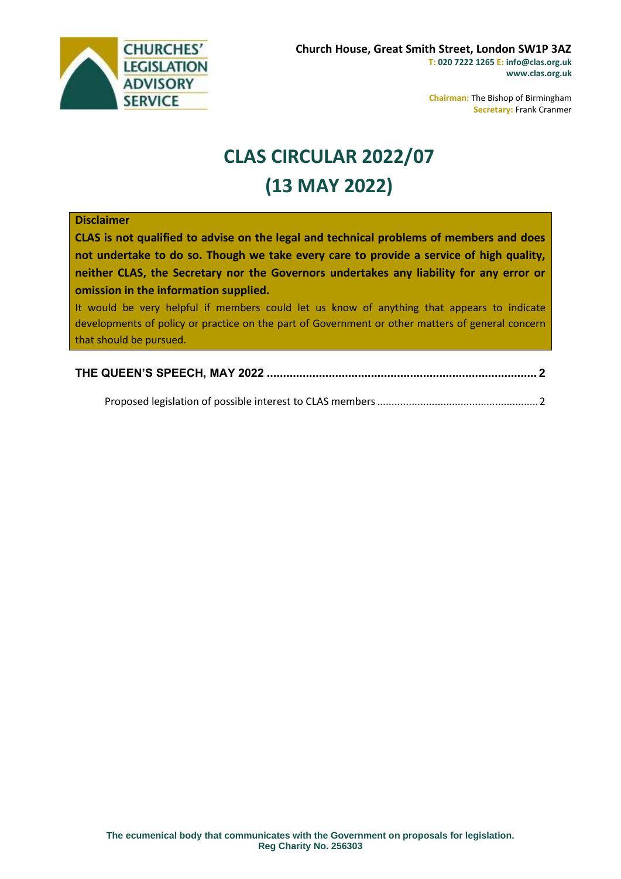

**Chairman:** The Bishop of Birmingham **Secretary:** Frank Cranmer

## **CLAS CIRCULAR 2022/07 (13 MAY 2022)**

## **Disclaimer**

**CLAS is not qualified to advise on the legal and technical problems of members and does not undertake to do so. Though we take every care to provide a service of high quality, neither CLAS, the Secretary nor the Governors undertakes any liability for any error or omission in the information supplied.**

It would be very helpful if members could let us know of anything that appears to indicate developments of policy or practice on the part of Government or other matters of general concern that should be pursued.

|--|

Proposed legislation of possible interest to CLAS members........................................................2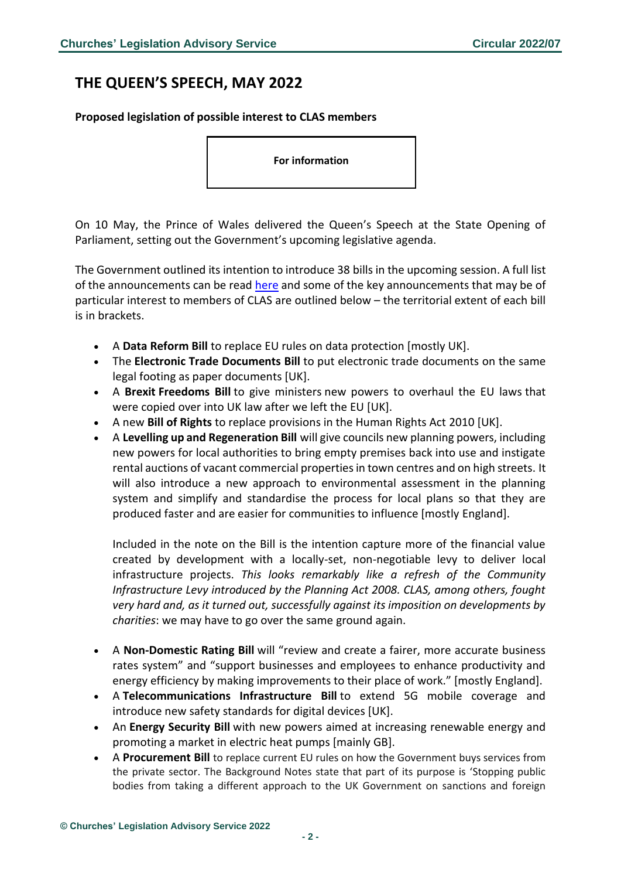## **THE QUEEN'S SPEECH, MAY 2022**

**Proposed legislation of possible interest to CLAS members**

**For information**

On 10 May, the Prince of Wales delivered the Queen's Speech at the State Opening of Parliament, setting out the Government's upcoming legislative agenda.

The Government outlined its intention to introduce 38 bills in the upcoming session. A full list of the announcements can be read [here](https://assets.publishing.service.gov.uk/government/uploads/system/uploads/attachment_data/file/1074106/Lobby_Pack_9_May_2022.pdf) and some of the key announcements that may be of particular interest to members of CLAS are outlined below – the territorial extent of each bill is in brackets.

- A **Data Reform Bill** to replace EU rules on data protection [mostly UK].
- The **Electronic Trade Documents Bill** to put electronic trade documents on the same legal footing as paper documents [UK].
- A **Brexit Freedoms Bill** to give ministers new powers to overhaul the EU laws that were copied over into UK law after we left the EU [UK].
- A new **Bill of Rights** to replace provisions in the Human Rights Act 2010 [UK].
- A **Levelling up and Regeneration Bill** will give councils new planning powers, including new powers for local authorities to bring empty premises back into use and instigate rental auctions of vacant commercial properties in town centres and on high streets. It will also introduce a new approach to environmental assessment in the planning system and simplify and standardise the process for local plans so that they are produced faster and are easier for communities to influence [mostly England].

Included in the note on the Bill is the intention capture more of the financial value created by development with a locally-set, non-negotiable levy to deliver local infrastructure projects. *This looks remarkably like a refresh of the Community Infrastructure Levy introduced by the Planning Act 2008. CLAS, among others, fought very hard and, as it turned out, successfully against its imposition on developments by charities*: we may have to go over the same ground again.

- A **Non-Domestic Rating Bill** will "review and create a fairer, more accurate business rates system" and "support businesses and employees to enhance productivity and energy efficiency by making improvements to their place of work." [mostly England].
- A **Telecommunications Infrastructure Bill** to extend 5G mobile coverage and introduce new safety standards for digital devices [UK].
- An **Energy Security Bill** with new powers aimed at increasing renewable energy and promoting a market in electric heat pumps [mainly GB].
- A **Procurement Bill** to replace current EU rules on how the Government buys services from the private sector. The Background Notes state that part of its purpose is 'Stopping public bodies from taking a different approach to the UK Government on sanctions and foreign